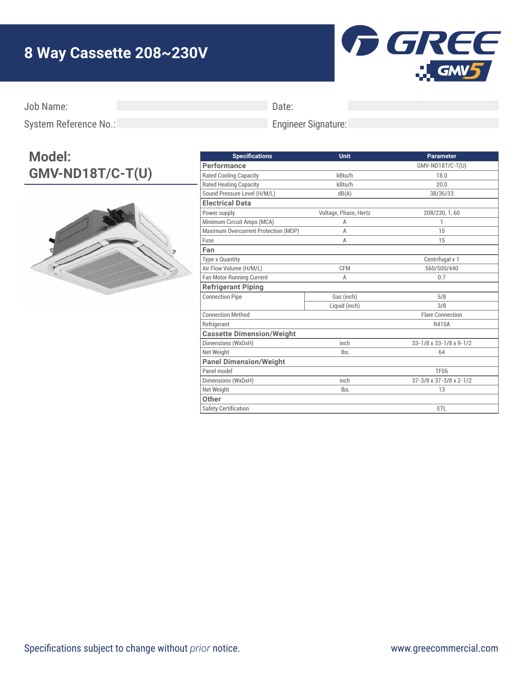## **8 Way Cassette 208~230V**



Job Name:

Date:

Engineer Signature:

System Reference No.:

## **Model: GMV-ND18T/C-T(U)**



| <b>Specifications</b>                | Unit                  | <b>Parameter</b>        |
|--------------------------------------|-----------------------|-------------------------|
| <b>Performance</b>                   |                       | GMV-ND18T/C-T(U)        |
| <b>Rated Cooling Capacity</b>        | kBtu/h                | 18.0                    |
| <b>Rated Heating Capacity</b>        | kBtu/h                | 20.0                    |
| Sound Pressure Level (H/M/L)         | dB(A)                 | 38/36/33                |
| <b>Electrical Data</b>               |                       |                         |
| Power supply                         | Voltage, Phase, Hertz | 208/230, 1, 60          |
| Minimum Circuit Amps (MCA)           | A                     | 1                       |
| Maximum Overcurrent Protection (MOP) | Α                     | 15                      |
| Fuse                                 | A                     | 15                      |
| Fan                                  |                       |                         |
| <b>Type x Quantity</b>               |                       | Centrifugal x 1         |
| Air Flow Volume (H/M/L)              | <b>CFM</b>            | 560/500/440             |
| <b>Fan Motor Running Current</b>     | A                     | 0.7                     |
| <b>Refrigerant Piping</b>            |                       |                         |
| <b>Connection Pipe</b>               | Gas (inch)            | 5/8                     |
|                                      | Liquid (inch)         | 3/8                     |
| <b>Connection Method</b>             |                       | <b>Flare Connection</b> |
| Refrigerant                          |                       | R410A                   |
| <b>Cassette Dimension/Weight</b>     |                       |                         |
| Dimensions (WxDxH)                   | inch                  | 33-1/8 x 33-1/8 x 9-1/2 |
| Net Weight                           | lbs.                  | 64                      |
| <b>Panel Dimension/Weight</b>        |                       |                         |
| Panel model                          |                       | <b>TF06</b>             |
| Dimensions (WxDxH)                   | inch                  | 37-3/8 x 37-3/8 x 2-1/2 |
| Net Weight                           | lbs.                  | 13                      |
| Other                                |                       |                         |
| <b>Safety Certification</b>          |                       | <b>ETL</b>              |